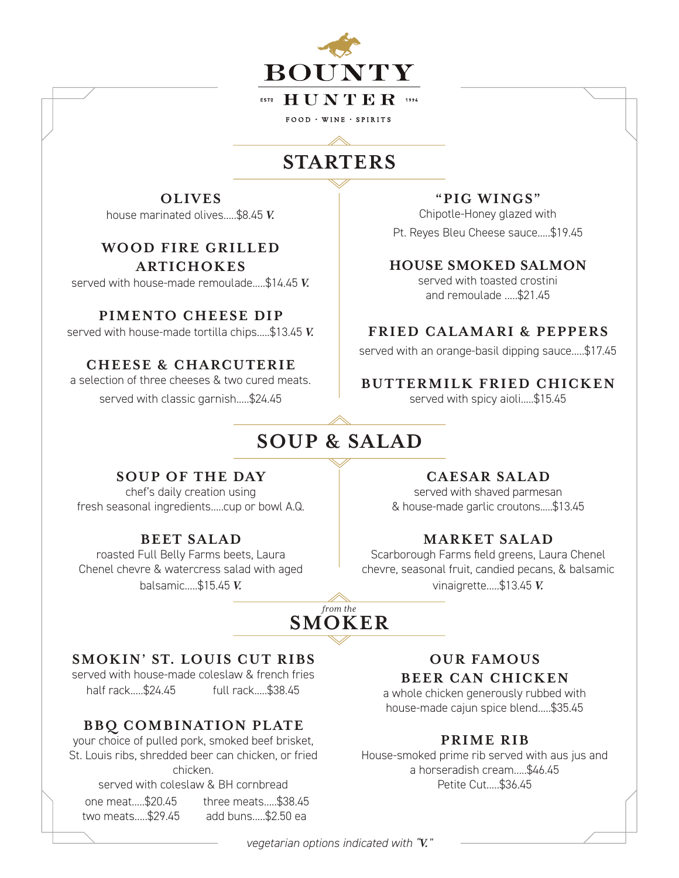

 $FOOD \cdot WINE \cdot SPIRITS$ 

## **STARTERS**

**OLIVES** house marinated olives.....\$8.45 *V.*

### **WO OD FIRE GRILLED ARTICHOKES**

served with house-made remoulade.....\$14.45 *V.*

#### **PIMENTO CHEESE DIP**

served with house-made tortilla chips.....\$13.45 *V.*

## **CHEESE & CHARCUTERIE**

a selection of three cheeses & two cured meats.

served with classic garnish.....\$24.45

#### **"PIG WINGS"**

Chipotle-Honey glazed with

Pt. Reyes Bleu Cheese sauce.....\$19.45

## **HOUSE SMOKED SALMON**

served with toasted crostini and remoulade .....\$21.45

## **FRIED CALAMARI & PEPPERS**

served with an orange-basil dipping sauce.....\$17.45

## **BUTTERMILK FRIED CHICKEN**

served with spicy aioli.....\$15.45

# **SOUP & SALAD**

### **SOUP OF THE DAY**

chef's daily creation using fresh seasonal ingredients.....cup or bowl A.Q.

### **BEET SALAD**

roasted Full Belly Farms beets, Laura Chenel chevre & watercress salad with aged balsamic.....\$15.45 *V.*

### **CAESAR SALAD**

served with shaved parmesan & house-made garlic croutons.....\$13.45

## **MARKET SALAD**

Scarborough Farms field greens, Laura Chenel chevre, seasonal fruit, candied pecans, & balsamic vinaigrette.....\$13.45 *V.*

## **SMOKER** *from the*

### **SMOKIN' ST. LOUIS CUT RIBS**

served with house-made coleslaw & french fries half rack.....\$24.45 full rack.....\$38.45

## **BBQ COMBINATION PLATE**

your choice of pulled pork, smoked beef brisket, St. Louis ribs, shredded beer can chicken, or fried chicken.

served with coleslaw & BH cornbread

one meat.....\$20.45 two meats.....\$29.45

three meats.....\$38.45 add buns.....\$2.50 ea

## **OUR FAMOUS BEER CAN CHICKEN**

a whole chicken generously rubbed with house-made cajun spice blend.....\$35.45

## **PRIME RIB**

House-smoked prime rib served with aus jus and a horseradish cream.....\$46.45 Petite Cut.....\$36.45

*vegetarian options indicated with "V."*